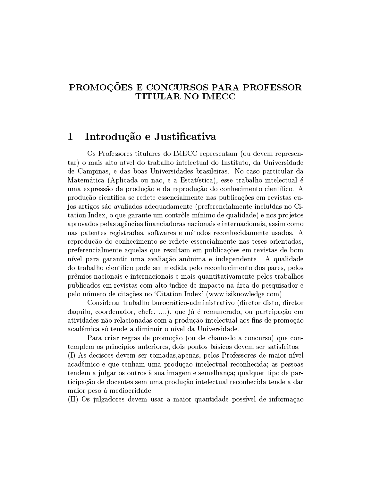## PROMOÇÕES E CONCURSOS PARA PROFESSOR **TITULAR NO IMECC**

## Introdução e Justificativa 1

Os Professores titulares do IMECC representam (ou devem representar) o mais alto nível do trabalho intelectual do Instituto, da Universidade de Campinas, e das boas Universidades brasileiras. No caso particular da Matemática (Aplicada ou não, e a Estatística), esse trabalho intelectual é uma expressão da produção e da reprodução do conhecimento científico. A produção científica se reflete essencialmente nas publicações em revistas cujos artigos são avaliados adequadamente (preferencialmente incluídas no Citation Index, o que garante um contrôle mínimo de qualidade) e nos projetos aprovados pelas agências financiadoras nacionais e internacionais, assim como nas patentes registradas, softwares e métodos reconhecidamente usados. A reprodução do conhecimento se reflete essencialmente nas teses orientadas, preferencialmente aquelas que resultam em publicações em revistas de bom nível para garantir uma avaliação anônima e independente. A qualidade do trabalho científico pode ser medida pelo reconhecimento dos pares, pelos prêmios nacionais e internacionais e mais quantitativamente pelos trabalhos publicados em revistas com alto índice de impacto na área do pesquisador e pelo número de citações no 'Citation Index' (www.isiknowledge.com).

Considerar trabalho burocrático-administrativo (diretor disto, diretor daquilo, coordenador, chefe, ....), que já é remunerado, ou partcipação em atividades não relacionadas com a produção intelectual aos fins de promoção acadêmica só tende a diminuir o nível da Universidade.

Para criar regras de promoção (ou de chamado a concurso) que contemplem os princípios anteriores, dois pontos básicos devem ser satisfeitos: (I) As decisões devem ser tomadas, apenas, pelos Professores de maior nível acadêmico e que tenham uma produção intelectual reconhecida; as pessoas tendem a julgar os outros à sua imagem e semelhanca; qualquer tipo de participação de docentes sem uma produção intelectual reconhecida tende a dar maior peso à mediocridade.

(II) Os julgadores devem usar a maior quantidade possível de informação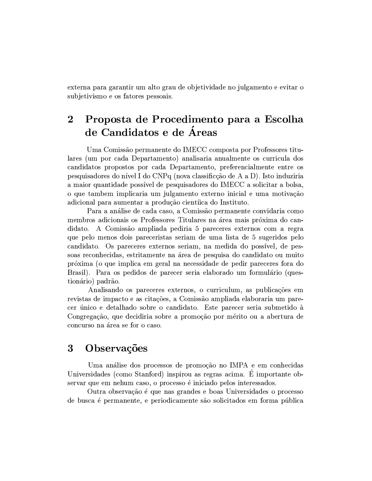externa para garantir um alto grau de objetividade no julgamento e evitar o subjetivismo e os fatores pessoais.

## Proposta de Procedimento para a Escolha  $\overline{2}$ de Candidatos e de Áreas

Uma Comissão permanente do IMECC composta por Professores titulares (um por cada Departamento) analisaria anualmente os curricula dos candidatos propostos por cada Departamento, preferencialmente entre os pesquisadores do nível I do CNPq (nova classificção de A a D). Isto induziria a maior quantidade possível de pesquisadores do IMECC a solicitar a bolsa, o que tambem implicaria um julgamento externo inicial e uma motivação adicional para aumentar a produção cientíica do Instituto.

Para a análise de cada caso, a Comissão permanente convidaria como membros adicionais os Professores Titulares na área mais próxima do candidato. A Comissão ampliada pediria 5 pareceres externos com a regra que pelo menos dois pareceristas seriam de uma lista de 5 sugeridos pelo candidato. Os pareceres externos seriam, na medida do possível, de pessoas reconhecidas, estritamente na área de pesquisa do candidato ou muito próxima (o que implica em geral na necessidade de pedir pareceres fora do Brasil). Para os pedidos de parecer seria elaborado um formulário (questionário) padrão.

Analisando os pareceres externos, o curriculum, as publicações em revistas de impacto e as citações, a Comissão ampliada elaboraria um parecer único e detalhado sobre o candidato. Este parecer seria submetido à Congregação, que decidiria sobre a promoção por mérito ou a abertura de concurso na área se for o caso.

## $\overline{\mathbf{3}}$ Observações

Uma análise dos processos de promoção no IMPA e em conhecidas Universidades (como Stanford) inspirou as regras acima. É importante observar que em nehum caso, o processo é iniciado pelos interessados.

Outra observação é que nas grandes e boas Universidades o processo de busca é permanente, e periodicamente são solicitados em forma pública